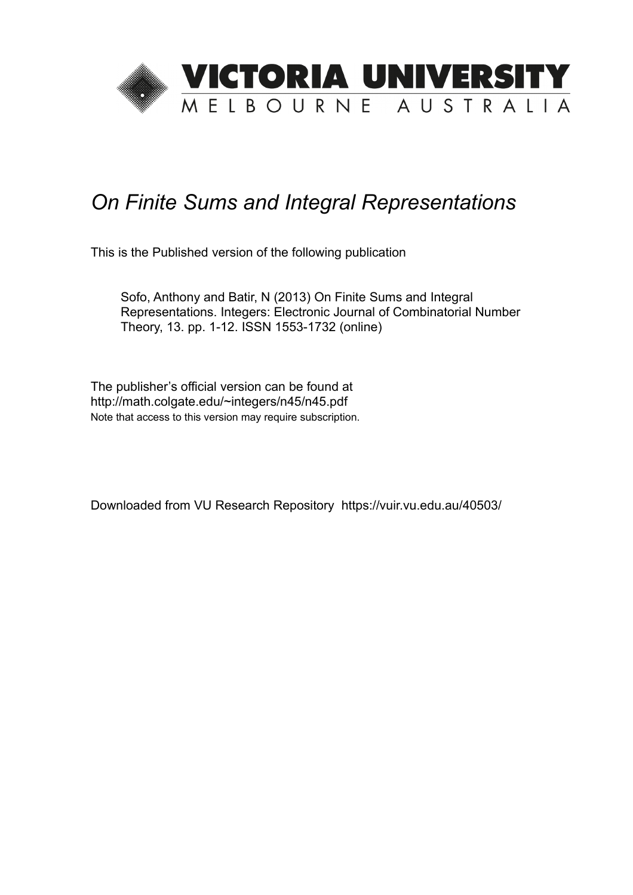

# *On Finite Sums and Integral Representations*

This is the Published version of the following publication

Sofo, Anthony and Batir, N (2013) On Finite Sums and Integral Representations. Integers: Electronic Journal of Combinatorial Number Theory, 13. pp. 1-12. ISSN 1553-1732 (online)

The publisher's official version can be found at http://math.colgate.edu/~integers/n45/n45.pdf Note that access to this version may require subscription.

Downloaded from VU Research Repository https://vuir.vu.edu.au/40503/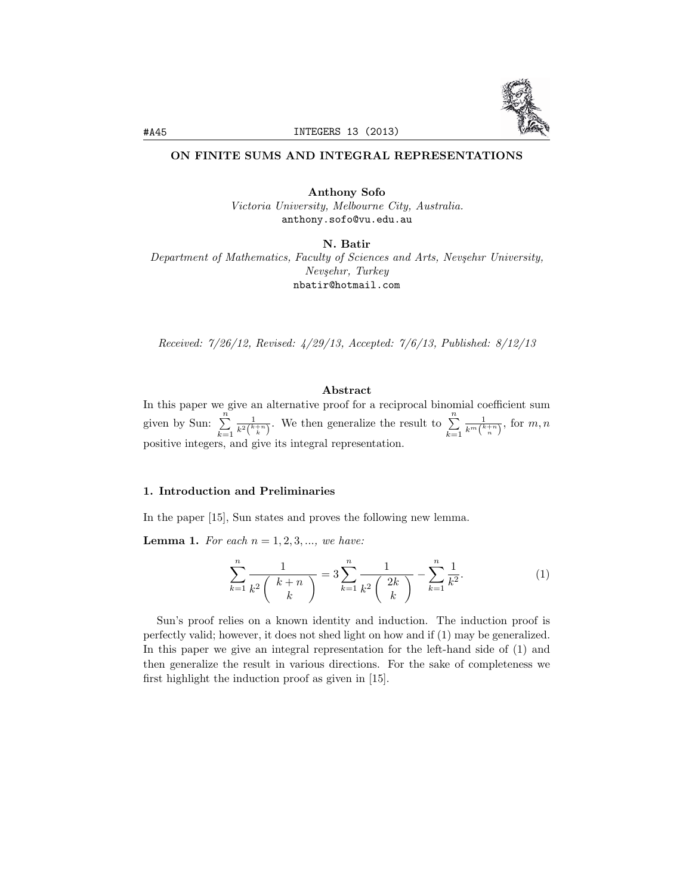

## ON FINITE SUMS AND INTEGRAL REPRESENTATIONS

Anthony Sofo *Victoria University, Melbourne City, Australia.* anthony.sofo@vu.edu.au

N. Batir

*Department of Mathematics, Faculty of Sciences and Arts, Nev¸sehır University, Nev¸sehır, Turkey* nbatir@hotmail.com

*Received: 7/26/12, Revised: 4/29/13, Accepted: 7/6/13, Published: 8/12/13*

## Abstract

In this paper we give an alternative proof for a reciprocal binomial coefficient sum given by Sun:  $\sum_{n=1}^{\infty}$ *k*=1  $\frac{1}{k^2 {k+n \choose k}}$ . We then generalize the result to  $\sum_{k=1}^n$ *k*=1  $\frac{1}{k^m\binom{k+n}{n}},$  for  $m, n$ positive integers, and give its integral representation.

### 1. Introduction and Preliminaries

In the paper [15], Sun states and proves the following new lemma.

**Lemma 1.** For each  $n = 1, 2, 3, \ldots$ , we have:

$$
\sum_{k=1}^{n} \frac{1}{k^2 \binom{k+n}{k}} = 3 \sum_{k=1}^{n} \frac{1}{k^2 \binom{2k}{k}} - \sum_{k=1}^{n} \frac{1}{k^2}.
$$
 (1)

Sun's proof relies on a known identity and induction. The induction proof is perfectly valid; however, it does not shed light on how and if (1) may be generalized. In this paper we give an integral representation for the left-hand side of (1) and then generalize the result in various directions. For the sake of completeness we first highlight the induction proof as given in [15].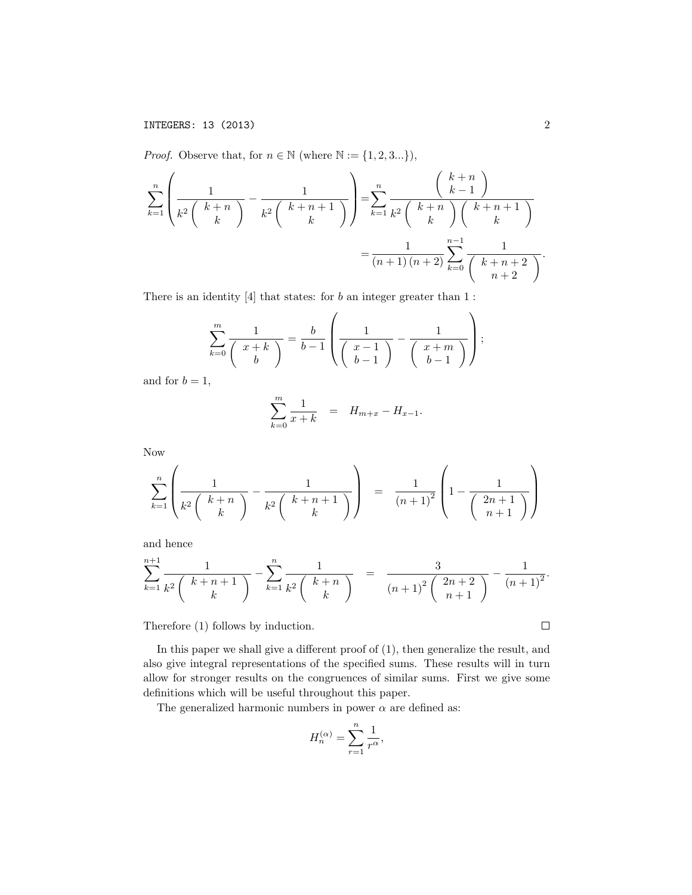*Proof.* Observe that, for  $n \in \mathbb{N}$  (where  $\mathbb{N} := \{1, 2, 3...\}$ ),

$$
\sum_{k=1}^{n} \left( \frac{1}{k^2 \binom{k+n}{k}} - \frac{1}{k^2 \binom{k+n+1}{k}} \right) = \sum_{k=1}^{n} \frac{\binom{k+n}{k-1}}{k^2 \binom{k+n}{k}} \binom{k+n+1}{k}
$$

$$
= \frac{1}{(n+1)(n+2)} \sum_{k=0}^{n-1} \frac{1}{\binom{k+n+2}{n+2}}.
$$

There is an identity [4] that states: for *b* an integer greater than 1 :

$$
\sum_{k=0}^{m} \frac{1}{\binom{x+k}{b}} = \frac{b}{b-1} \left( \frac{1}{\binom{x-1}{b-1}} - \frac{1}{\binom{x+m}{b-1}} \right);
$$

and for  $b = 1$ ,

$$
\sum_{k=0}^{m} \frac{1}{x+k} = H_{m+x} - H_{x-1}.
$$

Now

$$
\sum_{k=1}^{n} \left( \frac{1}{k^2 \binom{k+n}{k}} - \frac{1}{k^2 \binom{k+n+1}{k}} \right) = \frac{1}{(n+1)^2} \left( 1 - \frac{1}{\binom{2n+1}{n+1}} \right)
$$

and hence

$$
\sum_{k=1}^{n+1} \frac{1}{k^2 \binom{k+n+1}{k}} - \sum_{k=1}^n \frac{1}{k^2 \binom{k+n}{k}} = \frac{3}{(n+1)^2 \binom{2n+2}{n+1}} - \frac{1}{(n+1)^2}.
$$

Therefore (1) follows by induction.

In this paper we shall give a different proof of (1), then generalize the result, and also give integral representations of the specified sums. These results will in turn allow for stronger results on the congruences of similar sums. First we give some definitions which will be useful throughout this paper.

The generalized harmonic numbers in power  $\alpha$  are defined as:

$$
H_n^{(\alpha)} = \sum_{r=1}^n \frac{1}{r^{\alpha}},
$$

 $\Box$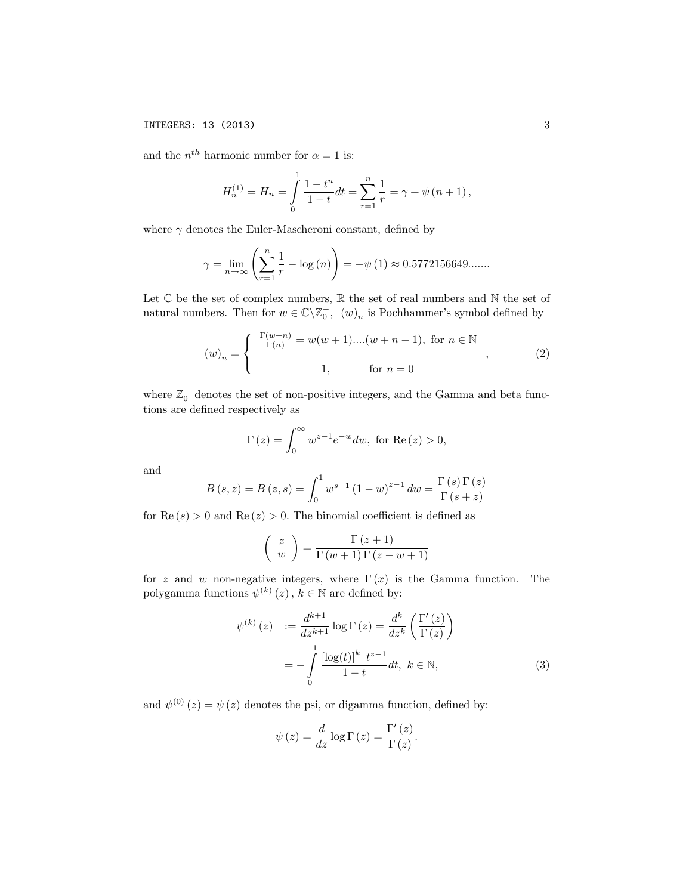and the  $n^{th}$  harmonic number for  $\alpha = 1$  is:

$$
H_n^{(1)} = H_n = \int_0^1 \frac{1 - t^n}{1 - t} dt = \sum_{r=1}^n \frac{1}{r} = \gamma + \psi (n + 1),
$$

where  $\gamma$  denotes the Euler-Mascheroni constant, defined by

$$
\gamma = \lim_{n \to \infty} \left( \sum_{r=1}^{n} \frac{1}{r} - \log(n) \right) = -\psi(1) \approx 0.5772156649...
$$

Let  $\mathbb C$  be the set of complex numbers,  $\mathbb R$  the set of real numbers and  $\mathbb N$  the set of natural numbers. Then for  $w \in \mathbb{C} \backslash \mathbb{Z}_0^-$ ,  $(w)_n$  is Pochhammer's symbol defined by

$$
(w)_n = \begin{cases} \frac{\Gamma(w+n)}{\Gamma(n)} = w(w+1)...(w+n-1), \text{ for } n \in \mathbb{N} \\ 1, & \text{for } n = 0 \end{cases}
$$
 (2)

where  $\mathbb{Z}_0^-$  denotes the set of non-positive integers, and the Gamma and beta functions are defined respectively as

$$
\Gamma(z) = \int_0^\infty w^{z-1} e^{-w} dw, \text{ for } \text{Re}(z) > 0,
$$

and

$$
B(s, z) = B(z, s) = \int_0^1 w^{s-1} (1 - w)^{z-1} dw = \frac{\Gamma(s) \Gamma(z)}{\Gamma(s + z)}
$$

for  $\text{Re}(s) > 0$  and  $\text{Re}(z) > 0$ . The binomial coefficient is defined as

$$
\left(\begin{array}{c}z\\w\end{array}\right)=\frac{\Gamma\left(z+1\right)}{\Gamma\left(w+1\right)\Gamma\left(z-w+1\right)}
$$

for *z* and *w* non-negative integers, where  $\Gamma(x)$  is the Gamma function. The polygamma functions  $\psi^{(k)}(z)$ ,  $k \in \mathbb{N}$  are defined by:

$$
\psi^{(k)}(z) := \frac{d^{k+1}}{dz^{k+1}} \log \Gamma(z) = \frac{d^k}{dz^k} \left( \frac{\Gamma'(z)}{\Gamma(z)} \right)
$$

$$
= -\int_0^1 \frac{\left[ \log(t) \right]^k t^{z-1}}{1-t} dt, \ k \in \mathbb{N}, \tag{3}
$$

and  $\psi^{(0)}(z) = \psi(z)$  denotes the psi, or digamma function, defined by:

$$
\psi(z) = \frac{d}{dz} \log \Gamma(z) = \frac{\Gamma'(z)}{\Gamma(z)}.
$$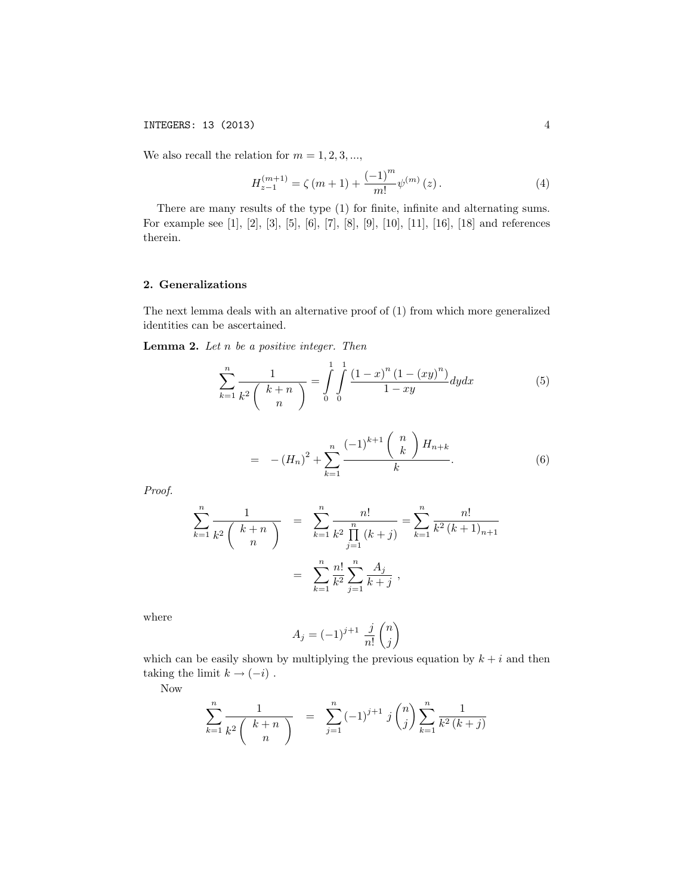INTEGERS: 13 (2013) 4

We also recall the relation for  $m = 1, 2, 3, \ldots$ ,

$$
H_{z-1}^{(m+1)} = \zeta(m+1) + \frac{(-1)^m}{m!} \psi^{(m)}(z).
$$
 (4)

There are many results of the type (1) for finite, infinite and alternating sums. For example see [1], [2], [3], [5], [6], [7], [8], [9], [10], [11], [16], [18] and references therein.

## 2. Generalizations

The next lemma deals with an alternative proof of (1) from which more generalized identities can be ascertained.

Lemma 2. *Let n be a positive integer. Then*

$$
\sum_{k=1}^{n} \frac{1}{k^2 \binom{k+n}{n}} = \int_{0}^{1} \int_{0}^{1} \frac{(1-x)^n (1 - (xy)^n)}{1 - xy} dy dx \tag{5}
$$

$$
= -(H_n)^2 + \sum_{k=1}^n \frac{(-1)^{k+1} {n \choose k} H_{n+k}}{k}.
$$
 (6)

*Proof.*

$$
\sum_{k=1}^{n} \frac{1}{k^2 \binom{k+n}{n}} = \sum_{k=1}^{n} \frac{n!}{k^2 \prod_{j=1}^{n} (k+j)} = \sum_{k=1}^{n} \frac{n!}{k^2 (k+1)_{n+1}}
$$

$$
= \sum_{k=1}^{n} \frac{n!}{k^2} \sum_{j=1}^{n} \frac{A_j}{k+j},
$$

where

$$
A_j = (-1)^{j+1} \frac{j}{n!} \binom{n}{j}
$$

which can be easily shown by multiplying the previous equation by  $k + i$  and then taking the limit  $k \rightarrow (-i)$ .

Now

$$
\sum_{k=1}^{n} \frac{1}{k^2 \binom{k+n}{n}} = \sum_{j=1}^{n} (-1)^{j+1} j \binom{n}{j} \sum_{k=1}^{n} \frac{1}{k^2 (k+j)}
$$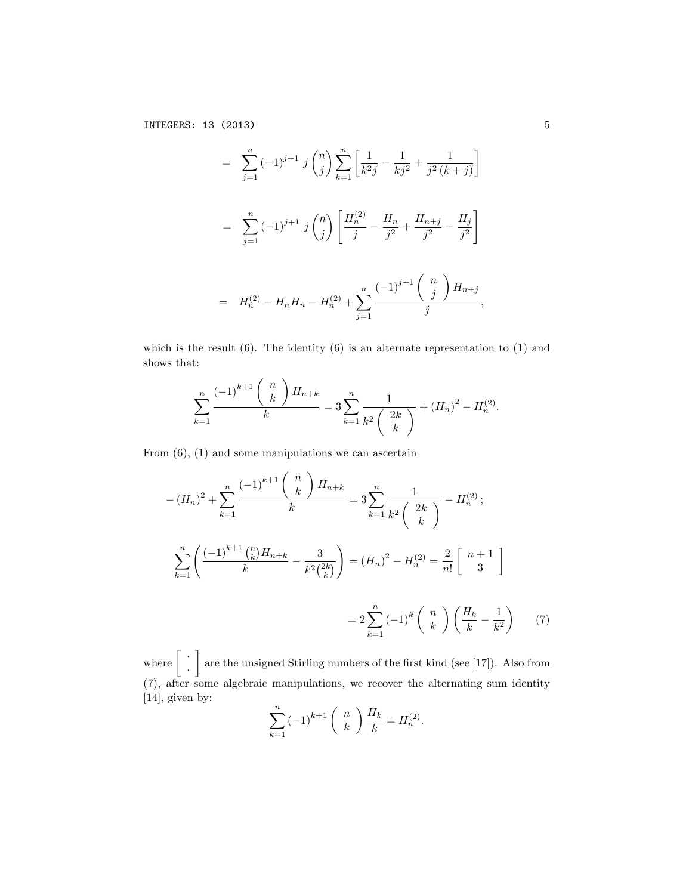$$
= \sum_{j=1}^{n} (-1)^{j+1} j {n \choose j} \sum_{k=1}^{n} \left[ \frac{1}{k^2 j} - \frac{1}{kj^2} + \frac{1}{j^2 (k+j)} \right]
$$
  

$$
= \sum_{j=1}^{n} (-1)^{j+1} j {n \choose j} \left[ \frac{H_n^{(2)}}{j} - \frac{H_n}{j^2} + \frac{H_{n+j}}{j^2} - \frac{H_j}{j^2} \right]
$$
  

$$
= H_n^{(2)} - H_n H_n - H_n^{(2)} + \sum_{j=1}^{n} \frac{(-1)^{j+1} {n \choose j} H_{n+j}}{j},
$$

which is the result  $(6)$ . The identity  $(6)$  is an alternate representation to  $(1)$  and shows that:

$$
\sum_{k=1}^{n} \frac{(-1)^{k+1} {n \choose k} H_{n+k}}{k} = 3 \sum_{k=1}^{n} \frac{1}{k^2 {2k \choose k}} + (H_n)^2 - H_n^{(2)}.
$$

From  $(6)$ ,  $(1)$  and some manipulations we can ascertain

$$
-(H_n)^2 + \sum_{k=1}^n \frac{(-1)^{k+1} {n \choose k} H_{n+k}}{k} = 3 \sum_{k=1}^n \frac{1}{k^2 {2k \choose k}} - H_n^{(2)};
$$
  

$$
\sum_{k=1}^n \left( \frac{(-1)^{k+1} {n \choose k} H_{n+k}}{k} - \frac{3}{k^2 {2k \choose k}} \right) = (H_n)^2 - H_n^{(2)} = \frac{2}{n!} \begin{bmatrix} n+1\\3 \end{bmatrix}
$$
  

$$
= 2 \sum_{k=1}^n (-1)^k {n \choose k} \left( \frac{H_k}{k} - \frac{1}{k^2} \right) \qquad (7)
$$

where  $\left\lceil \right\rceil$   $\cdot$ *·* 1 are the unsigned Stirling numbers of the first kind (see [17]). Also from (7), after some algebraic manipulations, we recover the alternating sum identity [14], given by:

*k*=1

$$
\sum_{k=1}^{n} (-1)^{k+1} {n \choose k} \frac{H_k}{k} = H_n^{(2)}.
$$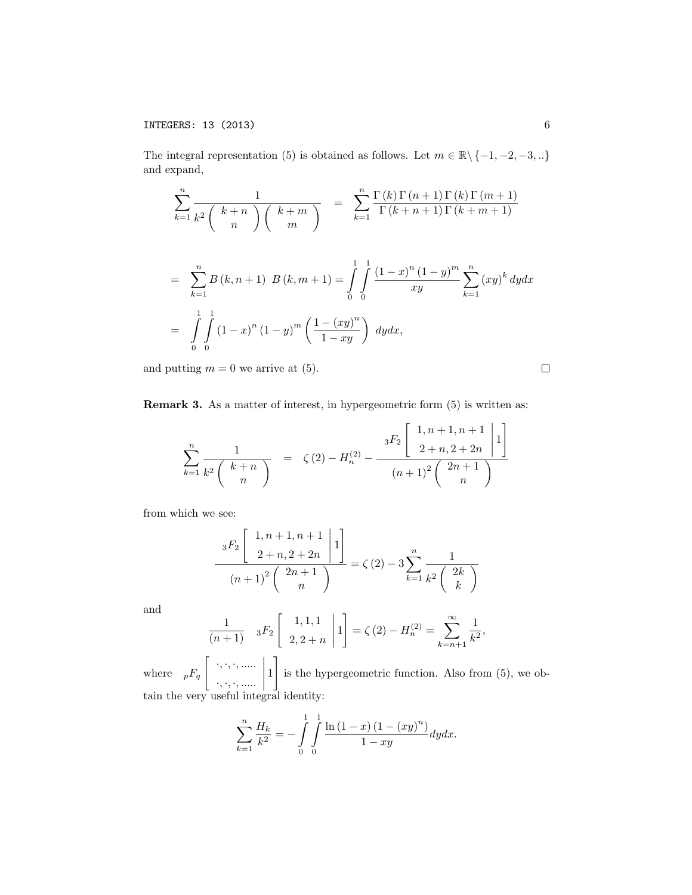The integral representation (5) is obtained as follows. Let  $m \in \mathbb{R} \setminus \{-1, -2, -3, ...\}$ and expand,

$$
\sum_{k=1}^{n} \frac{1}{k^{2} \binom{k+n}{n} \binom{k+m}{m}} = \sum_{k=1}^{n} \frac{\Gamma(k) \Gamma(n+1) \Gamma(k) \Gamma(m+1)}{\Gamma(k+n+1) \Gamma(k+m+1)}
$$
  
= 
$$
\sum_{k=1}^{n} B(k, n+1) B(k, m+1) = \int_{0}^{1} \int_{0}^{1} \frac{(1-x)^{n} (1-y)^{m}}{xy} \sum_{k=1}^{n} (xy)^{k} dy dx
$$
  
= 
$$
\int_{0}^{1} \int_{0}^{1} (1-x)^{n} (1-y)^{m} \left(\frac{1-(xy)^{n}}{1-xy}\right) dy dx,
$$

and putting  $m = 0$  we arrive at (5).

Remark 3. As a matter of interest, in hypergeometric form (5) is written as:

$$
\sum_{k=1}^{n} \frac{1}{k^2 \binom{k+n}{n}} = \zeta(2) - H_n^{(2)} - \frac{{}^{3}F_2 \binom{1, n+1, n+1}{2+n, 2+2n} \left[1\right]}{\left(n+1\right)^2 \binom{2n+1}{n}}
$$

from which we see:

$$
\frac{{}_{3}F_{2}\left[\begin{array}{c}1,n+1,n+1\\2+n,2+2n\end{array}\bigg|1\right]}{(n+1)^{2}\left(\begin{array}{c}2n+1\\n\end{array}\right)} = \zeta(2) - 3\sum_{k=1}^{n}\frac{1}{k^{2}\left(\begin{array}{c}2k\\k\end{array}\right)}
$$

and

$$
\frac{1}{(n+1)} \quad {}_3F_2 \left[ \begin{array}{c} 1,1,1 \\ 2,2+n \end{array} \middle| 1 \right] = \zeta(2) - H_n^{(2)} = \sum_{k=n+1}^{\infty} \frac{1}{k^2},
$$

where  ${}_{p}F_{q}$   $\left[\begin{array}{c} \cdot, \cdot, \cdot, \ldots \cdot \\ \cdot \end{array}\right]$ *·, ·, ·, .....*  $\begin{picture}(180,17)(-21,17)(-21,17)(-21,17)(-21,17)(-21,17)(-21,17)(-21,17)(-21,17)(-21,17)(-21,17)(-21,17)(-21,17)(-21,17)(-21,17)(-21,17)(-21,17)(-21,17)(-21,17)(-21,17)(-21,17)(-21,17)(-21,17)(-21,17)(-21,17)(-21,17)(-21,17)(-21,17)(-21,17)(-21,17)(-21,1$ 1 5 is the hypergeometric function. Also from (5), we obtain the very useful integral identity:

$$
\sum_{k=1}^{n} \frac{H_k}{k^2} = -\int_{0}^{1} \int_{0}^{1} \frac{\ln(1-x) (1 - (xy)^n)}{1 - xy} dy dx.
$$

 $\Box$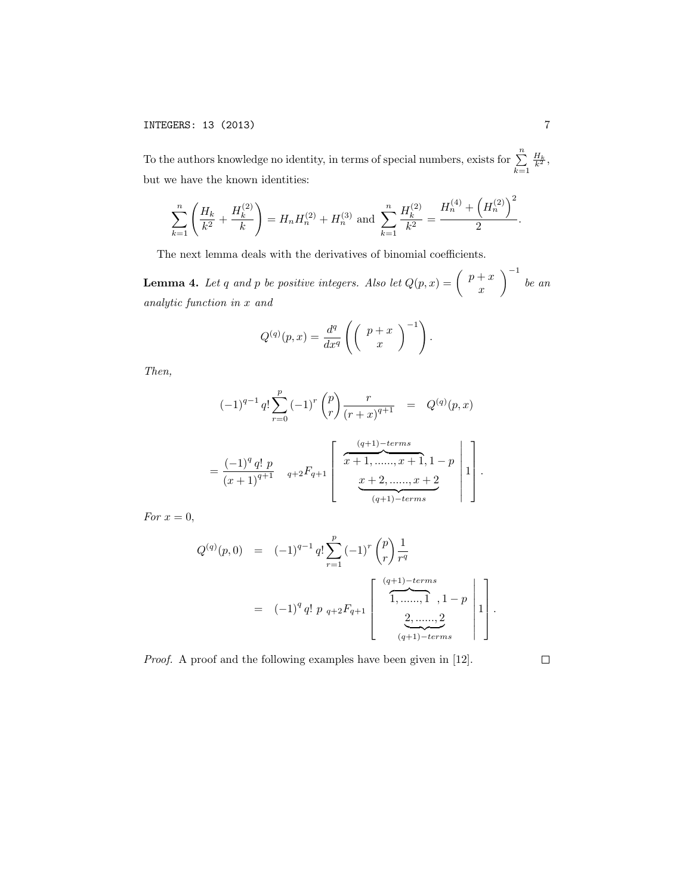To the authors knowledge no identity, in terms of special numbers, exists for  $\sum_{n=1}^{n}$ *k*=1  $\frac{H_k}{k^2}$ but we have the known identities:

$$
\sum_{k=1}^{n} \left( \frac{H_k}{k^2} + \frac{H_k^{(2)}}{k} \right) = H_n H_n^{(2)} + H_n^{(3)} \text{ and } \sum_{k=1}^{n} \frac{H_k^{(2)}}{k^2} = \frac{H_n^{(4)} + \left( H_n^{(2)} \right)^2}{2}.
$$

The next lemma deals with the derivatives of binomial coefficients.

**Lemma 4.** Let *q* and *p* be positive integers. Also let  $Q(p, x) = \begin{pmatrix} p+x \ p \end{pmatrix}$ *x*  $\setminus$ <sup>-1</sup> *be an analytic function in x and*

$$
Q^{(q)}(p,x) = \frac{d^q}{dx^q} \left( \begin{pmatrix} p+x \\ x \end{pmatrix}^{-1} \right).
$$

*Then,*

$$
(-1)^{q-1} q! \sum_{r=0}^{p} (-1)^{r} {p \choose r} \frac{r}{(r+x)^{q+1}} = Q^{(q)}(p,x)
$$

$$
= \frac{(-1)^{q} q! p}{(x+1)^{q+1}} \quad {}_{q+2}F_{q+1} \left[ \begin{array}{c} \frac{(q+1)-terms}{x+1, \dots, x+1, 1-p} \\ \vdots \\ \frac{x+2, \dots, x+2}{(q+1)-terms} \end{array} \right] 1 \right].
$$

*For*  $x = 0$ *,* 

$$
Q^{(q)}(p,0) = (-1)^{q-1} q! \sum_{r=1}^{p} (-1)^{r} {p \choose r} \frac{1}{r^{q}}
$$
  
= 
$$
(-1)^{q} q! p_{q+2} F_{q+1} \begin{bmatrix} \frac{(q+1)-terms}{1, \dots, 1}, 1-p \\ \frac{2, \dots, 2}{(q+1)-terms} \end{bmatrix} \begin{bmatrix} 1 \\ 1 \end{bmatrix}.
$$

*Proof.* A proof and the following examples have been given in [12].

 $\Box$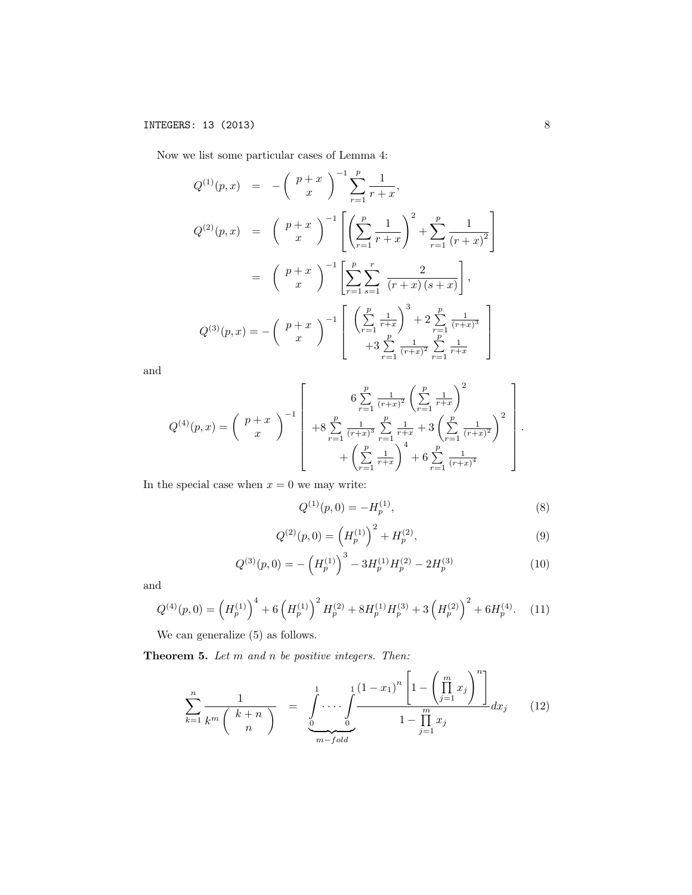Now we list some particular cases of Lemma 4:

$$
Q^{(1)}(p,x) = -\left(\begin{array}{c} p+x \\ x \end{array}\right)^{-1} \sum_{r=1}^{p} \frac{1}{r+x},
$$
  
\n
$$
Q^{(2)}(p,x) = \left(\begin{array}{c} p+x \\ x \end{array}\right)^{-1} \left[\left(\sum_{r=1}^{p} \frac{1}{r+x}\right)^{2} + \sum_{r=1}^{p} \frac{1}{(r+x)^{2}}\right]
$$
  
\n
$$
= \left(\begin{array}{c} p+x \\ x \end{array}\right)^{-1} \left[\sum_{r=1}^{p} \sum_{s=1}^{r} \frac{2}{(r+x)(s+x)}\right],
$$
  
\n
$$
Q^{(3)}(p,x) = -\left(\begin{array}{c} p+x \\ x \end{array}\right)^{-1} \left[\left(\sum_{r=1}^{p} \frac{1}{r+x}\right)^{3} + 2 \sum_{r=1}^{p} \frac{1}{(r+x)^{3}} - \sum_{r=1}^{p} \frac{1}{(r+x)^{3}} - \sum_{r=1}^{p} \frac{1}{r+x} \right]
$$

and

$$
Q^{(4)}(p,x) = \begin{pmatrix} p+x \\ x \end{pmatrix}^{-1} \begin{bmatrix} 6 \sum_{r=1}^{p} \frac{1}{(r+x)^2} \left( \sum_{r=1}^{p} \frac{1}{r+x} \right)^2 \\ +8 \sum_{r=1}^{p} \frac{1}{(r+x)^3} \sum_{r=1}^{p} \frac{1}{r+x} + 3 \left( \sum_{r=1}^{p} \frac{1}{(r+x)^2} \right)^2 \\ + \left( \sum_{r=1}^{p} \frac{1}{r+x} \right)^4 + 6 \sum_{r=1}^{p} \frac{1}{(r+x)^4} \end{bmatrix}.
$$

In the special case when  $x = 0$  we may write:

$$
Q^{(1)}(p,0) = -H_p^{(1)},\tag{8}
$$

$$
Q^{(2)}(p,0) = \left(H_p^{(1)}\right)^2 + H_p^{(2)},\tag{9}
$$

$$
Q^{(3)}(p,0) = -\left(H_p^{(1)}\right)^3 - 3H_p^{(1)}H_p^{(2)} - 2H_p^{(3)}
$$
\n(10)

and

$$
Q^{(4)}(p,0) = \left(H_p^{(1)}\right)^4 + 6\left(H_p^{(1)}\right)^2 H_p^{(2)} + 8H_p^{(1)}H_p^{(3)} + 3\left(H_p^{(2)}\right)^2 + 6H_p^{(4)}.\tag{11}
$$

We can generalize (5) as follows.

Theorem 5. *Let m and n be positive integers. Then:*

$$
\sum_{k=1}^{n} \frac{1}{k^{m} {k+n \choose n}} = \frac{\int_{0}^{1} \cdots \int_{0}^{1} \frac{(1-x_{1})^{n} \left[1 - \left(\prod_{j=1}^{m} x_{j}\right)^{n}\right]}{1 - \prod_{j=1}^{m} x_{j}} dx_{j} \qquad (12)
$$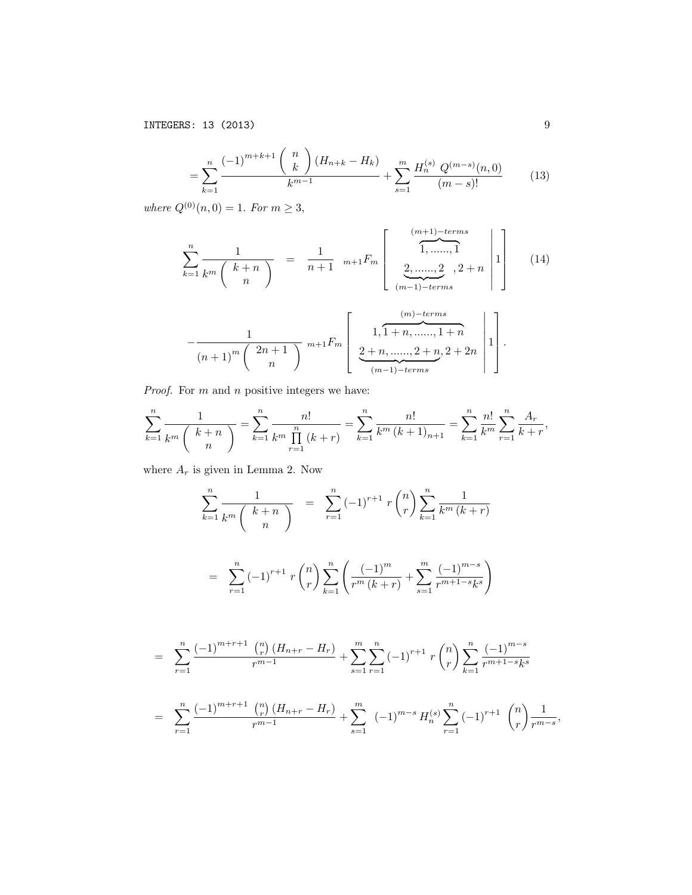INTEGERS: 13 (2013) 9

$$
= \sum_{k=1}^{n} \frac{(-1)^{m+k+1} {n \choose k} (H_{n+k} - H_k)}{k^{m-1}} + \sum_{s=1}^{m} \frac{H_n^{(s)} Q^{(m-s)}(n,0)}{(m-s)!} \tag{13}
$$

 $where Q^{(0)}(n, 0) = 1$ *. For*  $m \geq 3$ *,* 

$$
\sum_{k=1}^{n} \frac{1}{k^{m} \binom{k+n}{n}} = \frac{1}{n+1} m+1} F_m \left[ \frac{\underbrace{(m+1)-terms}_{1, \dots, 1}}_{(m-1)-terms}, 2 + n \right] \right]
$$
(14)

$$
-\frac{1}{(n+1)^m \binom{2n+1}{n}} \stackrel{m+1}{=} \left[ \frac{1, 1+n, \dots, 1+n}{2+n, \dots, 2+n, 2+2n} \right] \left[ \frac{1}{2+n, \dots, 2+n, 2+2n} \right].
$$

*Proof.* For *m* and *n* positive integers we have:

$$
\sum_{k=1}^{n} \frac{1}{k^{m} \binom{k+n}{n}} = \sum_{k=1}^{n} \frac{n!}{k^{m} \prod_{r=1}^{n} (k+r)} = \sum_{k=1}^{n} \frac{n!}{k^{m} (k+1)_{n+1}} = \sum_{k=1}^{n} \frac{n!}{k^{m}} \sum_{r=1}^{n} \frac{A_r}{k+r},
$$

where  $A_r$  is given in Lemma 2. Now

$$
\sum_{k=1}^{n} \frac{1}{k^{m} {k+n \choose n}} = \sum_{r=1}^{n} (-1)^{r+1} r {n \choose r} \sum_{k=1}^{n} \frac{1}{k^{m} (k+r)}
$$

$$
= \sum_{r=1}^{n} (-1)^{r+1} r {n \choose r} \sum_{k=1}^{n} \left( \frac{(-1)^{m}}{r^{m} (k+r)} + \sum_{s=1}^{m} \frac{(-1)^{m-s}}{r^{m+1-s} k^{s}} \right)
$$

$$
= \sum_{r=1}^{n} \frac{(-1)^{m+r+1} \binom{n}{r} (H_{n+r} - H_r)}{r^{m-1}} + \sum_{s=1}^{m} \sum_{r=1}^{n} (-1)^{r+1} r \binom{n}{r} \sum_{k=1}^{n} \frac{(-1)^{m-s}}{r^{m+1-s} k^s}
$$

$$
= \sum_{r=1}^{n} \frac{(-1)^{m+r+1} \binom{n}{r} (H_{n+r} - H_r)}{r^{m-1}} + \sum_{s=1}^{m} (-1)^{m-s} H_n^{(s)} \sum_{r=1}^{n} (-1)^{r+1} \binom{n}{r} \frac{1}{r^{m-s}},
$$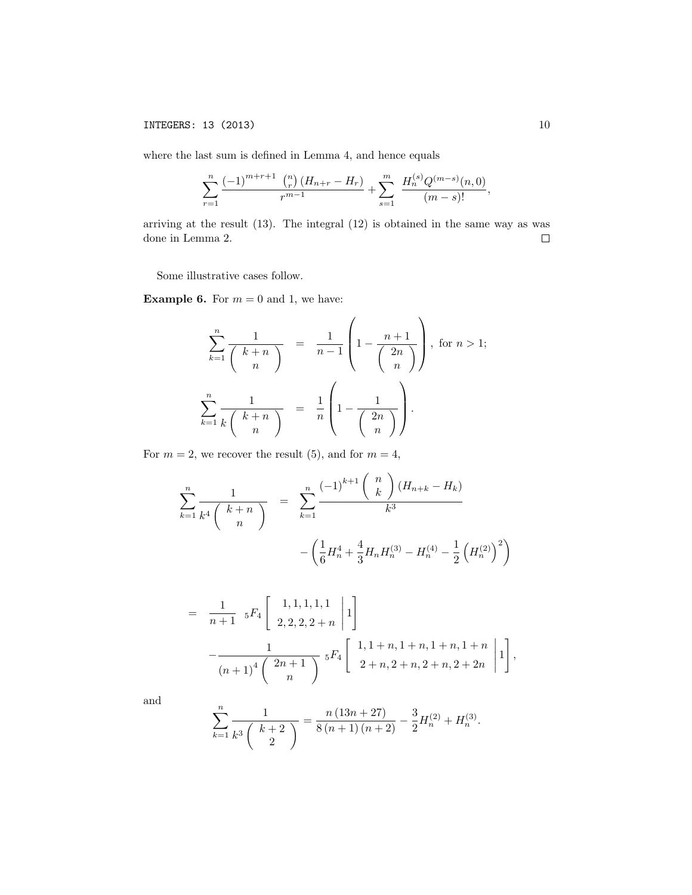where the last sum is defined in Lemma 4, and hence equals

$$
\sum_{r=1}^{n} \frac{(-1)^{m+r+1} \binom{n}{r} \left(H_{n+r} - H_r\right)}{r^{m-1}} + \sum_{s=1}^{m} \frac{H_n^{(s)} Q^{(m-s)}(n,0)}{(m-s)!},
$$

arriving at the result (13). The integral (12) is obtained in the same way as was done in Lemma 2.  $\Box$ 

Some illustrative cases follow.

**Example 6.** For  $m = 0$  and 1, we have:

$$
\sum_{k=1}^{n} \frac{1}{\binom{k+n}{n}} = \frac{1}{n-1} \left( 1 - \frac{n+1}{\binom{2n}{n}} \right), \text{ for } n > 1;
$$
  

$$
\sum_{k=1}^{n} \frac{1}{k \binom{k+n}{n}} = \frac{1}{n} \left( 1 - \frac{1}{\binom{2n}{n}} \right).
$$

For  $m = 2$ , we recover the result (5), and for  $m = 4$ ,

$$
\sum_{k=1}^{n} \frac{1}{k^4 \binom{k+n}{n}} = \sum_{k=1}^{n} \frac{(-1)^{k+1} \binom{n}{k} (H_{n+k} - H_k)}{k^3}
$$

$$
- \left(\frac{1}{6} H_n^4 + \frac{4}{3} H_n H_n^{(3)} - H_n^{(4)} - \frac{1}{2} \left(H_n^{(2)}\right)^2\right)
$$

$$
= \frac{1}{n+1} {}_5F_4 \left[ \begin{array}{c} 1,1,1,1,1 \\ 2,2,2,2+n \end{array} \middle| 1 \right] - \frac{1}{(n+1)^4 \binom{2n+1}{n}} {}_5F_4 \left[ \begin{array}{c} 1,1+n,1+n,1+n,1+n \\ 2+n,2+n,2+n,2+2n \end{array} \middle| 1 \right],
$$

and

$$
\sum_{k=1}^{n} \frac{1}{k^3 \binom{k+2}{2}} = \frac{n (13n+27)}{8 (n+1) (n+2)} - \frac{3}{2} H_n^{(2)} + H_n^{(3)}.
$$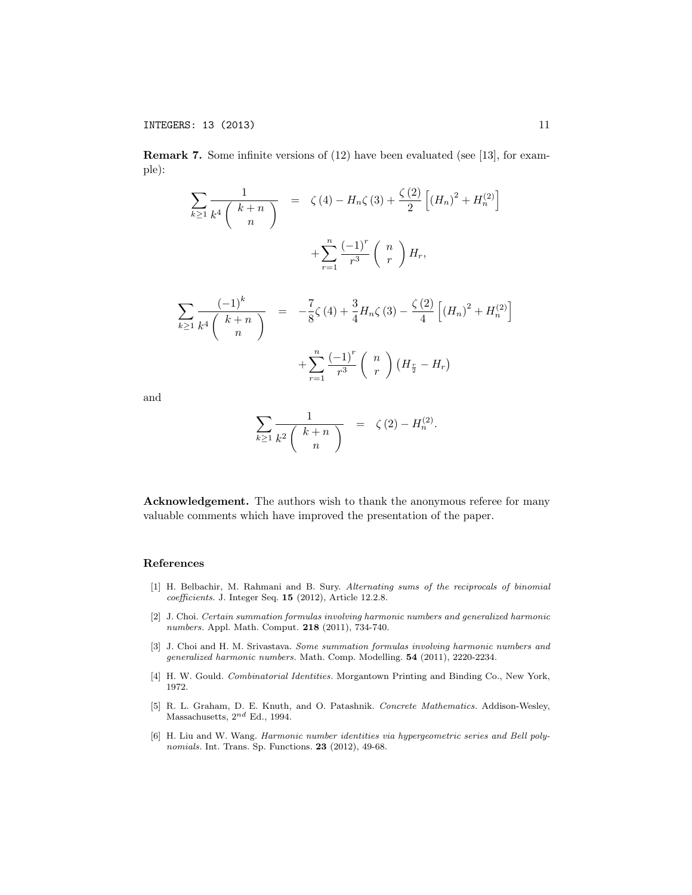Remark 7. Some infinite versions of (12) have been evaluated (see [13], for example):

$$
\sum_{k\geq 1} \frac{1}{k^4 \binom{k+n}{n}} = \zeta(4) - H_n \zeta(3) + \frac{\zeta(2)}{2} \left[ (H_n)^2 + H_n^{(2)} \right] \n+ \sum_{r=1}^n \frac{(-1)^r}{r^3} \binom{n}{r} H_r,
$$
\n
$$
\sum_{k\geq 1} \frac{(-1)^k}{k^4 \binom{k+n}{n}} = -\frac{7}{8} \zeta(4) + \frac{3}{4} H_n \zeta(3) - \frac{\zeta(2)}{4} \left[ (H_n)^2 + H_n^{(2)} \right] \n+ \sum_{r=1}^n \frac{(-1)^r}{r^3} \binom{n}{r} (H_{\frac{r}{2}} - H_r)
$$

and

$$
\sum_{k\geq 1}\frac{1}{k^2\left(\begin{array}{c}k+n\\n\end{array}\right)} = \zeta(2) - H_n^{(2)}.
$$

Acknowledgement. The authors wish to thank the anonymous referee for many valuable comments which have improved the presentation of the paper.

#### References

- [1] H. Belbachir, M. Rahmani and B. Sury. *Alternating sums of the reciprocals of binomial coe*ffi*cients.* J. Integer Seq. 15 (2012), Article 12.2.8.
- [2] J. Choi. *Certain summation formulas involving harmonic numbers and generalized harmonic numbers.* Appl. Math. Comput*.* 218 (2011), 734-740.
- [3] J. Choi and H. M. Srivastava. *Some summation formulas involving harmonic numbers and generalized harmonic numbers.* Math. Comp. Modelling. 54 (2011), 2220-2234.
- [4] H. W. Gould. *Combinatorial Identities.* Morgantown Printing and Binding Co., New York, 1972.
- [5] R. L. Graham, D. E. Knuth, and O. Patashnik. *Concrete Mathematics.* Addison-Wesley, Massachusetts, 2*nd* Ed., 1994.
- [6] H. Liu and W. Wang. *Harmonic number identities via hypergeometric series and Bell polynomials.* Int. Trans. Sp. Functions. 23 (2012), 49-68.